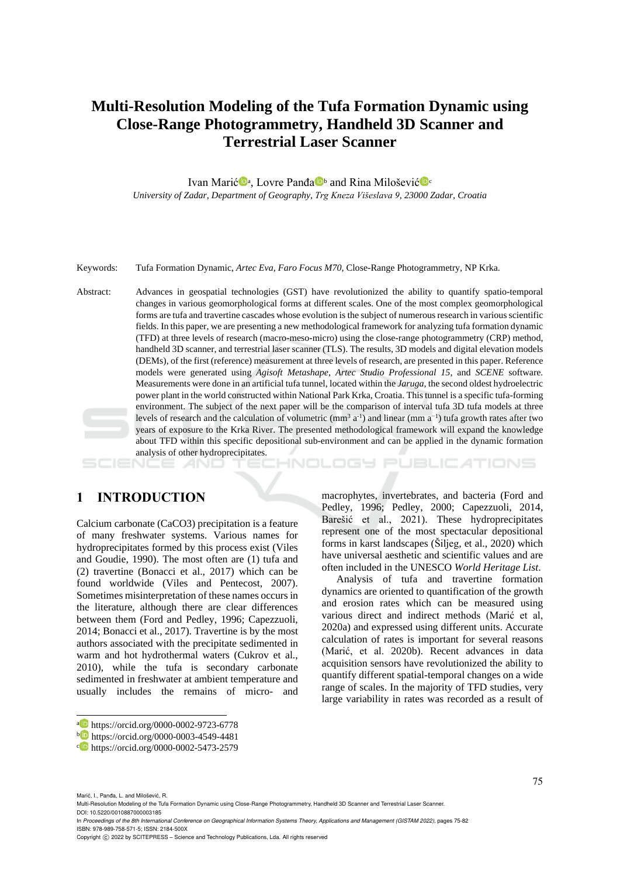# **Multi-Resolution Modeling of the Tufa Formation Dynamic using Close-Range Photogrammetry, Handheld 3D Scanner and Terrestrial Laser Scanner**

Ivan Marić<sup>in</sup>a, Lovre Panđa<sup>n b</sup>and Rina Milošević<sup>in</sup> *University of Zadar, Department of Geography, Trg Kneza Višeslava 9, 23000 Zadar, Croatia*

Keywords: Tufa Formation Dynamic, *Artec Eva*, *Faro Focus M70*, Close-Range Photogrammetry, NP Krka.

Abstract: Advances in geospatial technologies (GST) have revolutionized the ability to quantify spatio-temporal changes in various geomorphological forms at different scales. One of the most complex geomorphological forms are tufa and travertine cascades whose evolution is the subject of numerous research in variousscientific fields. In this paper, we are presenting a new methodological framework for analyzing tufa formation dynamic (TFD) at three levels of research (macro-meso-micro) using the close-range photogrammetry (CRP) method, handheld 3D scanner, and terrestrial laser scanner (TLS). The results, 3D models and digital elevation models (DEMs), of the first (reference) measurement at three levels of research, are presented in this paper. Reference models were generated using *Agisoft Metashape*, *Artec Studio Professional 15*, and *SCENE* software*.* Measurements were done in an artificial tufa tunnel, located within the *Jaruga*, the second oldest hydroelectric power plant in the world constructed within National Park Krka, Croatia. This tunnel is a specific tufa-forming environment. The subject of the next paper will be the comparison of interval tufa 3D tufa models at three levels of research and the calculation of volumetric  $(mm^3 a^{-1})$  and linear  $(mm a^{-1})$  tufa growth rates after two years of exposure to the Krka River. The presented methodological framework will expand the knowledge about TFD within this specific depositional sub-environment and can be applied in the dynamic formation analysis of other hydroprecipitates.

### **1 INTRODUCTION**

SCIENCE *A*ND

Calcium carbonate (CaCO3) precipitation is a feature of many freshwater systems. Various names for hydroprecipitates formed by this process exist (Viles and Goudie, 1990). The most often are (1) tufa and (2) travertine (Bonacci et al., 2017) which can be found worldwide (Viles and Pentecost, 2007). Sometimes misinterpretation of these names occurs in the literature, although there are clear differences between them (Ford and Pedley, 1996; Capezzuoli, 2014; Bonacci et al., 2017). Travertine is by the most authors associated with the precipitate sedimented in warm and hot hydrothermal waters (Cukrov et al., 2010), while the tufa is secondary carbonate sedimented in freshwater at ambient temperature and usually includes the remains of micro- and

macrophytes, invertebrates, and bacteria (Ford and Pedley, 1996; Pedley, 2000; Capezzuoli, 2014, Barešić et al., 2021). These hydroprecipitates represent one of the most spectacular depositional forms in karst landscapes (Šiljeg, et al., 2020) which have universal aesthetic and scientific values and are often included in the UNESCO *World Heritage List*.

INOLOGY PUBLIC ATIONS

Analysis of tufa and travertine formation dynamics are oriented to quantification of the growth and erosion rates which can be measured using various direct and indirect methods (Marić et al, 2020a) and expressed using different units. Accurate calculation of rates is important for several reasons (Marić, et al. 2020b). Recent advances in data acquisition sensors have revolutionized the ability to quantify different spatial-temporal changes on a wide range of scales. In the majority of TFD studies, very large variability in rates was recorded as a result of

In *Proceedings of the 8th International Conference on Geographical Information Systems Theory, Applications and Management (GISTAM 2022)*, pages 75-82 ISBN: 978-989-758-571-5; ISSN: 2184-500X

<sup>a</sup> https://orcid.org/0000-0002-9723-6778

<sup>b</sup> https://orcid.org/0000-0003-4549-4481

c https://orcid.org/0000-0002-5473-2579

Marić, I., Panda, L. and Milošević, R.

Multi-Resolution Modeling of the Tufa Formation Dynamic using Close-Range Photogrammetry, Handheld 3D Scanner and Terrestrial Laser Scanner. DOI: 10.5220/0010887000003185

Copyright (C) 2022 by SCITEPRESS - Science and Technology Publications, Lda. All rights reserved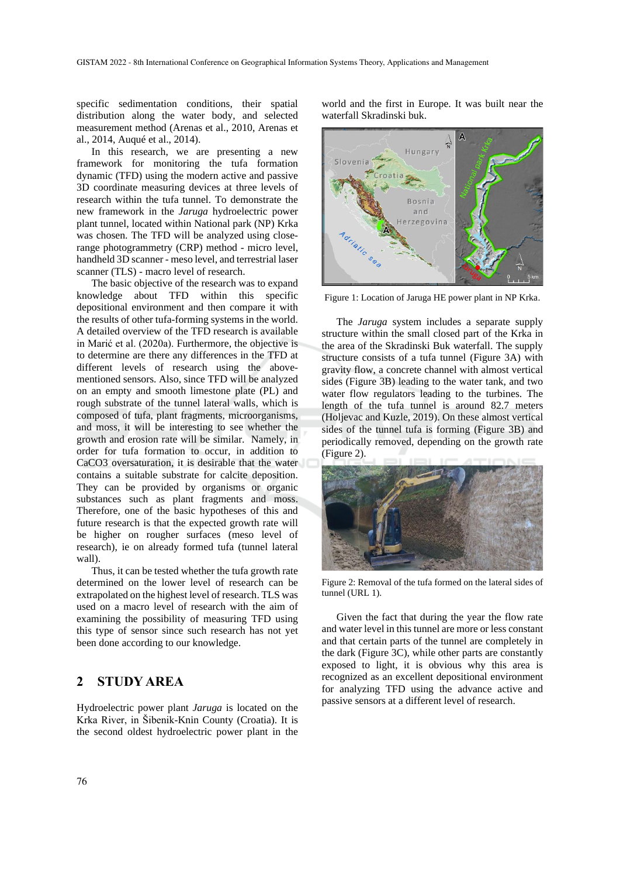specific sedimentation conditions, their spatial distribution along the water body, and selected measurement method (Arenas et al., 2010, Arenas et al., 2014, Auqué et al., 2014).

In this research, we are presenting a new framework for monitoring the tufa formation dynamic (TFD) using the modern active and passive 3D coordinate measuring devices at three levels of research within the tufa tunnel. To demonstrate the new framework in the *Jaruga* hydroelectric power plant tunnel, located within National park (NP) Krka was chosen. The TFD will be analyzed using closerange photogrammetry (CRP) method - micro level, handheld 3D scanner - meso level, and terrestrial laser scanner (TLS) - macro level of research.

The basic objective of the research was to expand knowledge about TFD within this specific depositional environment and then compare it with the results of other tufa-forming systems in the world. A detailed overview of the TFD research is available in Marić et al. (2020a). Furthermore, the objective is to determine are there any differences in the TFD at different levels of research using the abovementioned sensors. Also, since TFD will be analyzed on an empty and smooth limestone plate (PL) and rough substrate of the tunnel lateral walls, which is composed of tufa, plant fragments, microorganisms, and moss, it will be interesting to see whether the growth and erosion rate will be similar. Namely, in order for tufa formation to occur, in addition to CaCO3 oversaturation, it is desirable that the water contains a suitable substrate for calcite deposition. They can be provided by organisms or organic substances such as plant fragments and moss. Therefore, one of the basic hypotheses of this and future research is that the expected growth rate will be higher on rougher surfaces (meso level of research), ie on already formed tufa (tunnel lateral wall).

Thus, it can be tested whether the tufa growth rate determined on the lower level of research can be extrapolated on the highest level of research. TLS was used on a macro level of research with the aim of examining the possibility of measuring TFD using this type of sensor since such research has not yet been done according to our knowledge.

## **2 STUDY AREA**

Hydroelectric power plant *Jaruga* is located on the Krka River, in Šibenik-Knin County (Croatia). It is the second oldest hydroelectric power plant in the

world and the first in Europe. It was built near the waterfall Skradinski buk.



Figure 1: Location of Jaruga HE power plant in NP Krka.

The *Jaruga* system includes a separate supply structure within the small closed part of the Krka in the area of the Skradinski Buk waterfall. The supply structure consists of a tufa tunnel (Figure 3A) with gravity flow, a concrete channel with almost vertical sides (Figure 3B) leading to the water tank, and two water flow regulators leading to the turbines. The length of the tufa tunnel is around 82.7 meters (Holjevac and Kuzle, 2019). On these almost vertical sides of the tunnel tufa is forming (Figure 3B) and periodically removed, depending on the growth rate (Figure 2).



Figure 2: Removal of the tufa formed on the lateral sides of tunnel (URL 1).

Given the fact that during the year the flow rate and water level in this tunnel are more or less constant and that certain parts of the tunnel are completely in the dark (Figure 3C), while other parts are constantly exposed to light, it is obvious why this area is recognized as an excellent depositional environment for analyzing TFD using the advance active and passive sensors at a different level of research.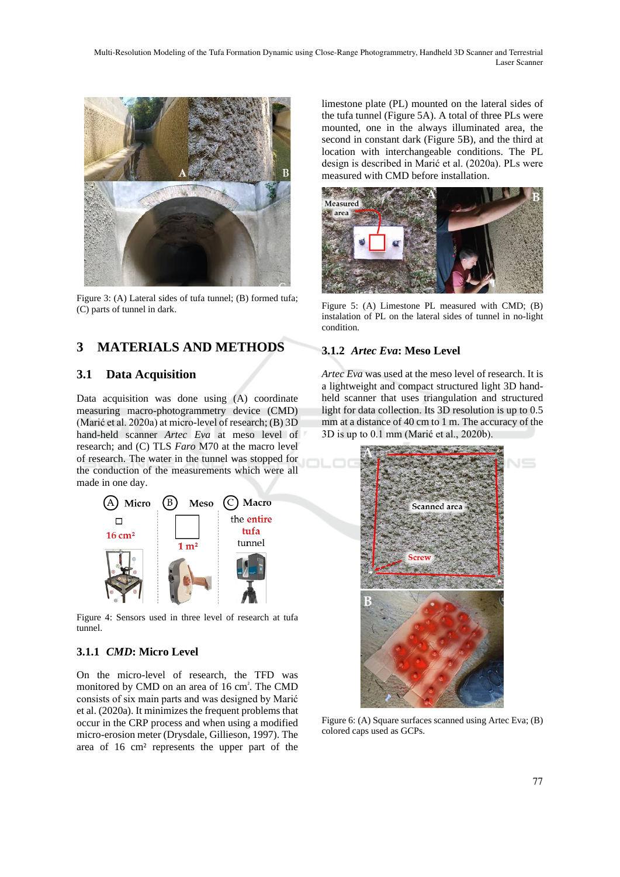Multi-Resolution Modeling of the Tufa Formation Dynamic using Close-Range Photogrammetry, Handheld 3D Scanner and Terrestrial Laser Scanner



Figure 3: (A) Lateral sides of tufa tunnel; (B) formed tufa; (C) parts of tunnel in dark.

# **3 MATERIALS AND METHODS**

### **3.1 Data Acquisition**

Data acquisition was done using (A) coordinate measuring macro-photogrammetry device (CMD) (Marić et al. 2020a) at micro-level of research; (B) 3D hand-held scanner *Artec Eva* at meso level of research; and (C) TLS *Faro* M70 at the macro level of research. The water in the tunnel was stopped for the conduction of the measurements which were all made in one day.



Figure 4: Sensors used in three level of research at tufa tunnel.

### **3.1.1** *CMD***: Micro Level**

On the micro-level of research, the TFD was monitored by CMD on an area of 16 cm<sup>²</sup> . The CMD consists of six main parts and was designed by Marić et al. (2020a). It minimizes the frequent problems that occur in the CRP process and when using a modified micro-erosion meter (Drysdale, Gillieson, 1997). The area of 16 cm² represents the upper part of the

limestone plate (PL) mounted on the lateral sides of the tufa tunnel (Figure 5A). A total of three PLs were mounted, one in the always illuminated area, the second in constant dark (Figure 5B), and the third at location with interchangeable conditions. The PL design is described in Marić et al. (2020a). PLs were measured with CMD before installation.



Figure 5: (A) Limestone PL measured with CMD; (B) instalation of PL on the lateral sides of tunnel in no-light condition.

#### **3.1.2** *Artec Eva***: Meso Level**

*Artec Eva* was used at the meso level of research. It is a lightweight and compact structured light 3D handheld scanner that uses triangulation and structured light for data collection. Its 3D resolution is up to 0.5 mm at a distance of 40 cm to 1 m. The accuracy of the 3D is up to 0.1 mm (Marić et al., 2020b).



Figure 6: (A) Square surfaces scanned using Artec Eva; (B) colored caps used as GCPs.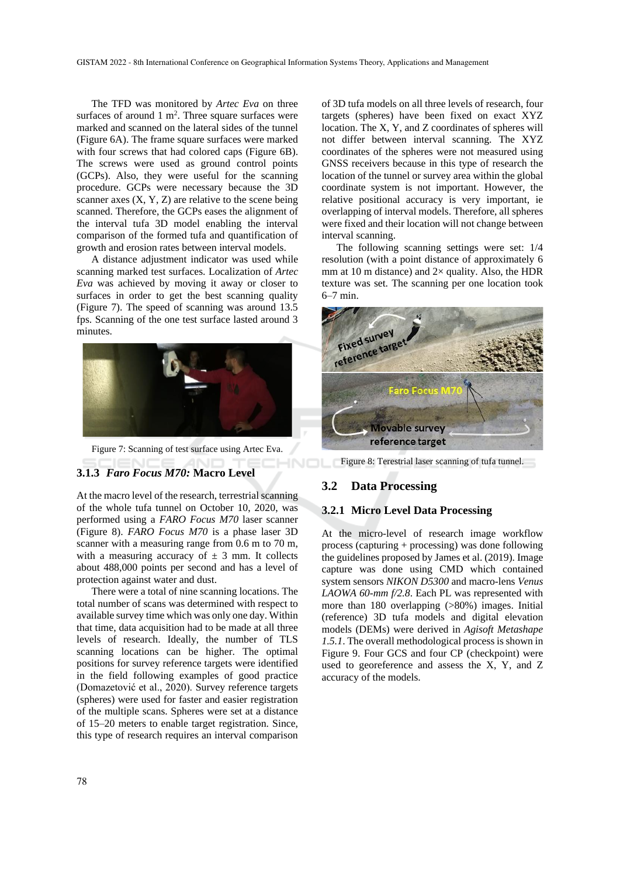The TFD was monitored by *Artec Eva* on three surfaces of around  $1 \text{ m}^2$ . Three square surfaces were marked and scanned on the lateral sides of the tunnel (Figure 6A). The frame square surfaces were marked with four screws that had colored caps (Figure 6B). The screws were used as ground control points (GCPs). Also, they were useful for the scanning procedure. GCPs were necessary because the 3D scanner axes  $(X, Y, Z)$  are relative to the scene being scanned. Therefore, the GCPs eases the alignment of the interval tufa 3D model enabling the interval comparison of the formed tufa and quantification of growth and erosion rates between interval models.

A distance adjustment indicator was used while scanning marked test surfaces. Localization of *Artec Eva* was achieved by moving it away or closer to surfaces in order to get the best scanning quality (Figure 7). The speed of scanning was around 13.5 fps. Scanning of the one test surface lasted around 3 minutes.



Figure 7: Scanning of test surface using Artec Eva.

#### **3.1.3** *Faro Focus M70:* **Macro Level**

At the macro level of the research, terrestrial scanning of the whole tufa tunnel on October 10, 2020, was performed using a *FARO Focus M70* laser scanner (Figure 8). *FARO Focus M70* is a phase laser 3D scanner with a measuring range from 0.6 m to 70 m, with a measuring accuracy of  $\pm$  3 mm. It collects about 488,000 points per second and has a level of protection against water and dust.

There were a total of nine scanning locations. The total number of scans was determined with respect to available survey time which was only one day. Within that time, data acquisition had to be made at all three levels of research. Ideally, the number of TLS scanning locations can be higher. The optimal positions for survey reference targets were identified in the field following examples of good practice (Domazetović et al., 2020). Survey reference targets (spheres) were used for faster and easier registration of the multiple scans. Spheres were set at a distance of 15–20 meters to enable target registration. Since, this type of research requires an interval comparison of 3D tufa models on all three levels of research, four targets (spheres) have been fixed on exact XYZ location. The X, Y, and Z coordinates of spheres will not differ between interval scanning. The XYZ coordinates of the spheres were not measured using GNSS receivers because in this type of research the location of the tunnel or survey area within the global coordinate system is not important. However, the relative positional accuracy is very important, ie overlapping of interval models. Therefore, all spheres were fixed and their location will not change between interval scanning.

The following scanning settings were set: 1/4 resolution (with a point distance of approximately 6 mm at 10 m distance) and  $2\times$  quality. Also, the HDR texture was set. The scanning per one location took 6–7 min.



Figure 8: Terestrial laser scanning of tufa tunnel.

#### **3.2 Data Processing**

HNC

#### **3.2.1 Micro Level Data Processing**

At the micro-level of research image workflow process (capturing + processing) was done following the guidelines proposed by James et al. (2019). Image capture was done using CMD which contained system sensors *NIKON D5300* and macro-lens *Venus LAOWA 60-mm f/2.8*. Each PL was represented with more than 180 overlapping (>80%) images. Initial (reference) 3D tufa models and digital elevation models (DEMs) were derived in *Agisoft Metashape 1.5.1*. The overall methodological process is shown in Figure 9. Four GCS and four CP (checkpoint) were used to georeference and assess the X, Y, and Z accuracy of the models.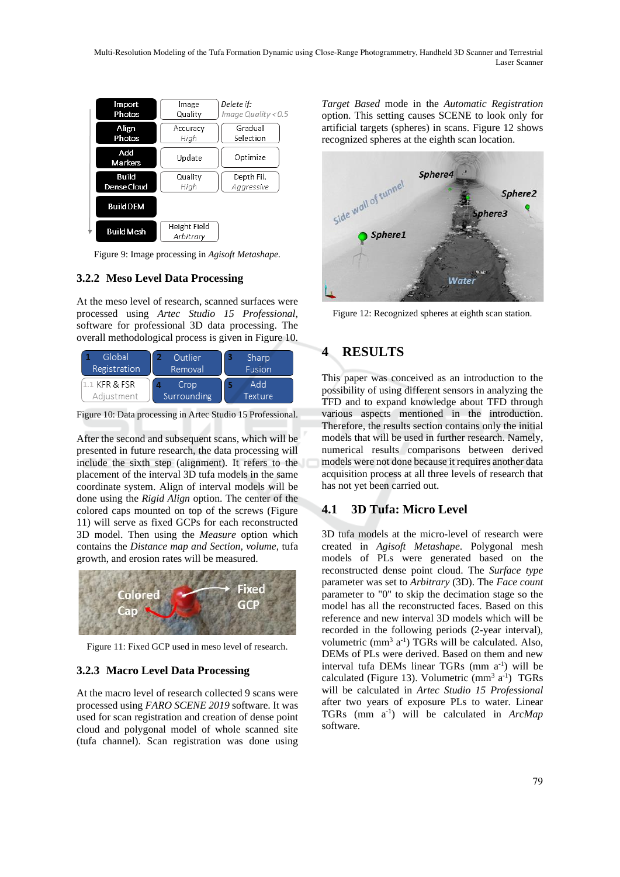Multi-Resolution Modeling of the Tufa Formation Dynamic using Close-Range Photogrammetry, Handheld 3D Scanner and Terrestrial Laser Scanner

| Import<br>Photos      | Image<br>Quality          | Delete if:<br>Image Quality < 0.5 |
|-----------------------|---------------------------|-----------------------------------|
| Align<br>Photos       | Accuracy<br>High          | Gradual<br>Selection              |
| Add<br><b>Markers</b> | Update                    | Optimize                          |
| Build<br>Dense Cloud  | Quality<br>High           | Depth Fil.<br>Aggressive          |
| <b>Build DEM</b>      |                           |                                   |
| <b>Build Mesh</b>     | Height Field<br>Arbitrary |                                   |

Figure 9: Image processing in *Agisoft Metashape.*

#### **3.2.2 Meso Level Data Processing**

At the meso level of research, scanned surfaces were processed using *Artec Studio 15 Professional*, software for professional 3D data processing. The overall methodological process is given in Figure 10.

| Global<br>Registration | Outlier<br>Removal | Sharp<br><b>Fusion</b> |  |
|------------------------|--------------------|------------------------|--|
| 1.1 KFR & FSR          | Crop               | hbA                    |  |
| Adjustment             | Surrounding        | Texture                |  |

Figure 10: Data processing in Artec Studio 15 Professional.

After the second and subsequent scans, which will be presented in future research, the data processing will include the sixth step (alignment). It refers to the placement of the interval 3D tufa models in the same coordinate system. Align of interval models will be done using the *Rigid Align* option. The center of the colored caps mounted on top of the screws (Figure 11) will serve as fixed GCPs for each reconstructed 3D model. Then using the *Measure* option which contains the *Distance map and Section, volume*, tufa growth, and erosion rates will be measured.



Figure 11: Fixed GCP used in meso level of research.

#### **3.2.3 Macro Level Data Processing**

At the macro level of research collected 9 scans were processed using *FARO SCENE 2019* software. It was used for scan registration and creation of dense point cloud and polygonal model of whole scanned site (tufa channel). Scan registration was done using

*Target Based* mode in the *Automatic Registration* option. This setting causes SCENE to look only for artificial targets (spheres) in scans. Figure 12 shows recognized spheres at the eighth scan location.



Figure 12: Recognized spheres at eighth scan station.

# **4 RESULTS**

This paper was conceived as an introduction to the possibility of using different sensors in analyzing the TFD and to expand knowledge about TFD through various aspects mentioned in the introduction. Therefore, the results section contains only the initial models that will be used in further research. Namely, numerical results comparisons between derived models were not done because it requires another data acquisition process at all three levels of research that has not yet been carried out.

## **4.1 3D Tufa: Micro Level**

3D tufa models at the micro-level of research were created in *Agisoft Metashape*. Polygonal mesh models of PLs were generated based on the reconstructed dense point cloud. The *Surface type* parameter was set to *Arbitrary* (3D). The *Face count* parameter to "0" to skip the decimation stage so the model has all the reconstructed faces. Based on this reference and new interval 3D models which will be recorded in the following periods (2-year interval), volumetric  $(mm<sup>3</sup> a<sup>-1</sup>)$  TGRs will be calculated. Also, DEMs of PLs were derived. Based on them and new interval tufa DEMs linear TGRs (mm a<sup>-1</sup>) will be calculated (Figure 13). Volumetric  $(mm^3 a^1)$  TGRs will be calculated in *Artec Studio 15 Professional* after two years of exposure PLs to water. Linear TGRs (mm a-1 ) will be calculated in *ArcMap*  software.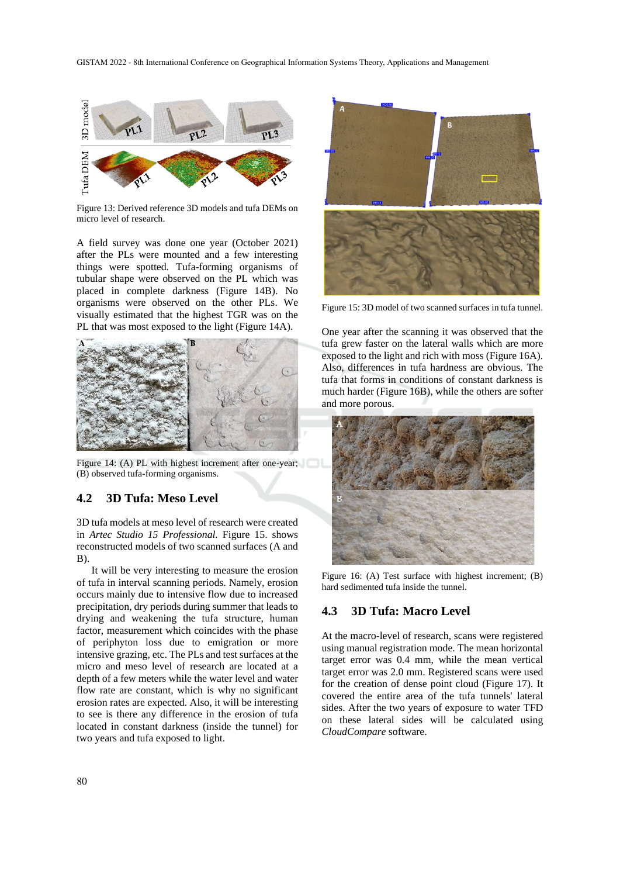

Figure 13: Derived reference 3D models and tufa DEMs on micro level of research.

A field survey was done one year (October 2021) after the PLs were mounted and a few interesting things were spotted. Tufa-forming organisms of tubular shape were observed on the PL which was placed in complete darkness (Figure 14B). No organisms were observed on the other PLs. We visually estimated that the highest TGR was on the PL that was most exposed to the light (Figure 14A).



Figure 14: (A) PL with highest increment after one-year; (B) observed tufa-forming organisms.

#### **4.2 3D Tufa: Meso Level**

3D tufa models at meso level of research were created in *Artec Studio 15 Professional.* Figure 15. shows reconstructed models of two scanned surfaces (A and B).

It will be very interesting to measure the erosion of tufa in interval scanning periods. Namely, erosion occurs mainly due to intensive flow due to increased precipitation, dry periods during summer that leads to drying and weakening the tufa structure, human factor, measurement which coincides with the phase of periphyton loss due to emigration or more intensive grazing, etc. The PLs and test surfaces at the micro and meso level of research are located at a depth of a few meters while the water level and water flow rate are constant, which is why no significant erosion rates are expected. Also, it will be interesting to see is there any difference in the erosion of tufa located in constant darkness (inside the tunnel) for two years and tufa exposed to light.



Figure 15: 3D model of two scanned surfaces in tufa tunnel.

One year after the scanning it was observed that the tufa grew faster on the lateral walls which are more exposed to the light and rich with moss (Figure 16A). Also, differences in tufa hardness are obvious. The tufa that forms in conditions of constant darkness is much harder (Figure 16B), while the others are softer and more porous.



Figure 16: (A) Test surface with highest increment; (B) hard sedimented tufa inside the tunnel.

#### **4.3 3D Tufa: Macro Level**

At the macro-level of research, scans were registered using manual registration mode. The mean horizontal target error was 0.4 mm, while the mean vertical target error was 2.0 mm. Registered scans were used for the creation of dense point cloud (Figure 17). It covered the entire area of the tufa tunnels' lateral sides. After the two years of exposure to water TFD on these lateral sides will be calculated using *CloudCompare* software.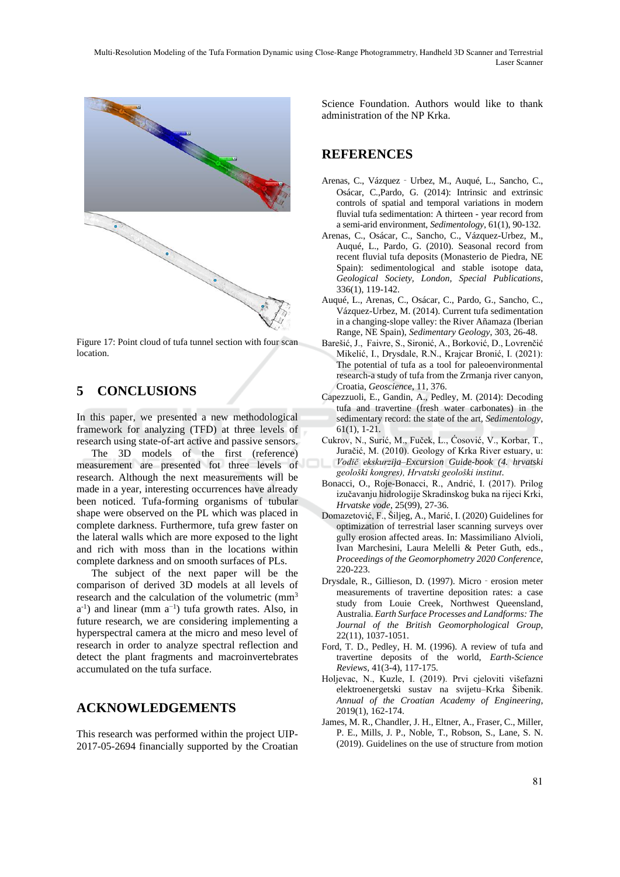Multi-Resolution Modeling of the Tufa Formation Dynamic using Close-Range Photogrammetry, Handheld 3D Scanner and Terrestrial Laser Scanner



Figure 17: Point cloud of tufa tunnel section with four scan location.

# **5 CONCLUSIONS**

In this paper, we presented a new methodological framework for analyzing (TFD) at three levels of research using state-of-art active and passive sensors.

The 3D models of the first (reference) measurement are presented fot three levels of research. Although the next measurements will be made in a year, interesting occurrences have already been noticed. Tufa-forming organisms of tubular shape were observed on the PL which was placed in complete darkness. Furthermore, tufa grew faster on the lateral walls which are more exposed to the light and rich with moss than in the locations within complete darkness and on smooth surfaces of PLs.

The subject of the next paper will be the comparison of derived 3D models at all levels of research and the calculation of the volumetric (mm<sup>3</sup>  $a^{-1}$ ) and linear (mm  $a^{-1}$ ) tufa growth rates. Also, in future research, we are considering implementing a hyperspectral camera at the micro and meso level of research in order to analyze spectral reflection and detect the plant fragments and macroinvertebrates accumulated on the tufa surface.

### **ACKNOWLEDGEMENTS**

This research was performed within the project UIP-2017-05-2694 financially supported by the Croatian Science Foundation. Authors would like to thank administration of the NP Krka.

## **REFERENCES**

- Arenas, C., Vázquez‐Urbez, M., Auqué, L., Sancho, C., Osácar, C.,Pardo, G. (2014): Intrinsic and extrinsic controls of spatial and temporal variations in modern fluvial tufa sedimentation: A thirteen - year record from a semi-arid environment, *Sedimentology*, 61(1), 90-132.
- Arenas, C., Osácar, C., Sancho, C., Vázquez-Urbez, M., Auqué, L., Pardo, G. (2010). Seasonal record from recent fluvial tufa deposits (Monasterio de Piedra, NE Spain): sedimentological and stable isotope data, *Geological Society, London, Special Publications*, 336(1), 119-142.
- Auqué, L., Arenas, C., Osácar, C., Pardo, G., Sancho, C., Vázquez-Urbez, M. (2014). Current tufa sedimentation in a changing-slope valley: the River Añamaza (Iberian Range, NE Spain), *Sedimentary Geology*, 303, 26-48.
- Barešić, J., Faivre, S., Sironić, A., Borković, D., Lovrenčić Mikelić, I., Drysdale, R.N., Krajcar Bronić, I. (2021): The potential of tufa as a tool for paleoenvironmental research-a study of tufa from the Zrmanja river canyon, Croatia, *Geoscience*, 11, 376.
- Capezzuoli, E., Gandin, A., Pedley, M. (2014): Decoding tufa and travertine (fresh water carbonates) in the sedimentary record: the state of the art, *Sedimentology*, 61(1), 1-21.
- Cukrov, N., Surić, M., Fuček, L., Ćosović, V., Korbar, T., Juračić, M. (2010). Geology of Krka River estuary, u: *Vodič ekskurzija–Excursion Guide-book (4. hrvatski geološki kongres), Hrvatski geološki institut*.
- Bonacci, O., Roje-Bonacci, R., Andrić, I. (2017). Prilog izučavanju hidrologije Skradinskog buka na rijeci Krki, *Hrvatske vode*, 25(99), 27-36.
- Domazetović, F., Šiljeg, A., Marić, I. (2020) Guidelines for optimization of terrestrial laser scanning surveys over gully erosion affected areas. In: Massimiliano Alvioli, Ivan Marchesini, Laura Melelli & Peter Guth, eds., *Proceedings of the Geomorphometry 2020 Conference*, 220-223.
- Drysdale, R., Gillieson, D. (1997). Micro‐erosion meter measurements of travertine deposition rates: a case study from Louie Creek, Northwest Queensland, Australia. *Earth Surface Processes and Landforms: The Journal of the British Geomorphological Group*, 22(11), 1037-1051.
- Ford, T. D., Pedley, H. M. (1996). A review of tufa and travertine deposits of the world, *Earth-Science Reviews*, 41(3-4), 117-175.
- Holjevac, N., Kuzle, I. (2019). Prvi cjeloviti višefazni elektroenergetski sustav na svijetu–Krka Šibenik. *Annual of the Croatian Academy of Engineering*, 2019(1), 162-174.
- James, M. R., Chandler, J. H., Eltner, A., Fraser, C., Miller, P. E., Mills, J. P., Noble, T., Robson, S., Lane, S. N. (2019). Guidelines on the use of structure from motion